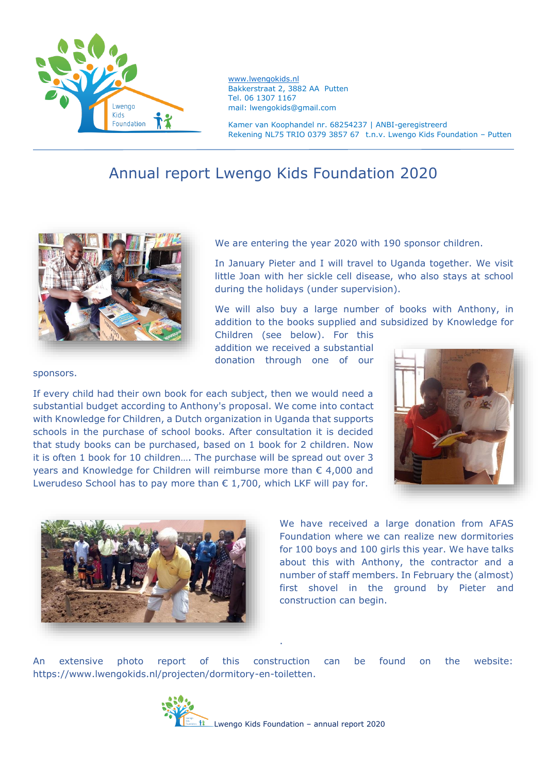

[www.lwengokids.nl](http://www.lwengokids.nl/) Bakkerstraat 2, 3882 AA Putten Tel. 06 1307 1167 mail: lwengokids@gmail.com

Kamer van Koophandel nr. 68254237 | ANBI-geregistreerd Rekening NL75 TRIO 0379 3857 67 t.n.v. Lwengo Kids Foundation – Putten

## Annual report Lwengo Kids Foundation 2020



We are entering the year 2020 with 190 sponsor children.

In January Pieter and I will travel to Uganda together. We visit little Joan with her sickle cell disease, who also stays at school during the holidays (under supervision).

We will also buy a large number of books with Anthony, in addition to the books supplied and subsidized by Knowledge for

Children (see below). For this addition we received a substantial donation through one of our

sponsors.

If every child had their own book for each subject, then we would need a substantial budget according to Anthony's proposal. We come into contact with Knowledge for Children, a Dutch organization in Uganda that supports schools in the purchase of school books. After consultation it is decided that study books can be purchased, based on 1 book for 2 children. Now it is often 1 book for 10 children…. The purchase will be spread out over 3 years and Knowledge for Children will reimburse more than € 4,000 and Lwerudeso School has to pay more than  $\epsilon$  1,700, which LKF will pay for.





We have received a large donation from AFAS Foundation where we can realize new dormitories for 100 boys and 100 girls this year. We have talks about this with Anthony, the contractor and a number of staff members. In February the (almost) first shovel in the ground by Pieter and construction can begin.

An extensive photo report of this construction can be found on the website: https://www.lwengokids.nl/projecten/dormitory-en-toiletten.

.

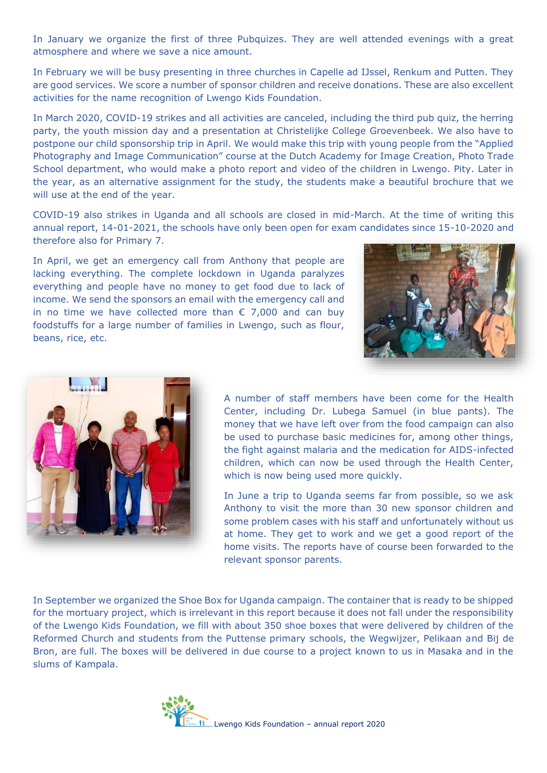In January we organize the first of three Pubquizes. They are well attended evenings with a great atmosphere and where we save a nice amount.

In February we will be busy presenting in three churches in Capelle ad IJssel, Renkum and Putten. They are good services. We score a number of sponsor children and receive donations. These are also excellent activities for the name recognition of Lwengo Kids Foundation.

In March 2020, COVID-19 strikes and all activities are canceled, including the third pub quiz, the herring party, the youth mission day and a presentation at Christelijke College Groevenbeek. We also have to postpone our child sponsorship trip in April. We would make this trip with young people from the "Applied Photography and Image Communication" course at the Dutch Academy for Image Creation, Photo Trade School department, who would make a photo report and video of the children in Lwengo. Pity. Later in the year, as an alternative assignment for the study, the students make a beautiful brochure that we will use at the end of the year.

COVID-19 also strikes in Uganda and all schools are closed in mid-March. At the time of writing this annual report, 14-01-2021, the schools have only been open for exam candidates since 15-10-2020 and therefore also for Primary 7.

In April, we get an emergency call from Anthony that people are lacking everything. The complete lockdown in Uganda paralyzes everything and people have no money to get food due to lack of income. We send the sponsors an email with the emergency call and in no time we have collected more than  $\epsilon$  7,000 and can buy foodstuffs for a large number of families in Lwengo, such as flour, beans, rice, etc.





A number of staff members have been come for the Health Center, including Dr. Lubega Samuel (in blue pants). The money that we have left over from the food campaign can also be used to purchase basic medicines for, among other things, the fight against malaria and the medication for AIDS-infected children, which can now be used through the Health Center, which is now being used more quickly.

In June a trip to Uganda seems far from possible, so we ask Anthony to visit the more than 30 new sponsor children and some problem cases with his staff and unfortunately without us at home. They get to work and we get a good report of the home visits. The reports have of course been forwarded to the relevant sponsor parents.

In September we organized the Shoe Box for Uganda campaign. The container that is ready to be shipped for the mortuary project, which is irrelevant in this report because it does not fall under the responsibility of the Lwengo Kids Foundation, we fill with about 350 shoe boxes that were delivered by children of the Reformed Church and students from the Puttense primary schools, the Wegwijzer, Pelikaan and Bij de Bron, are full. The boxes will be delivered in due course to a project known to us in Masaka and in the slums of Kampala.

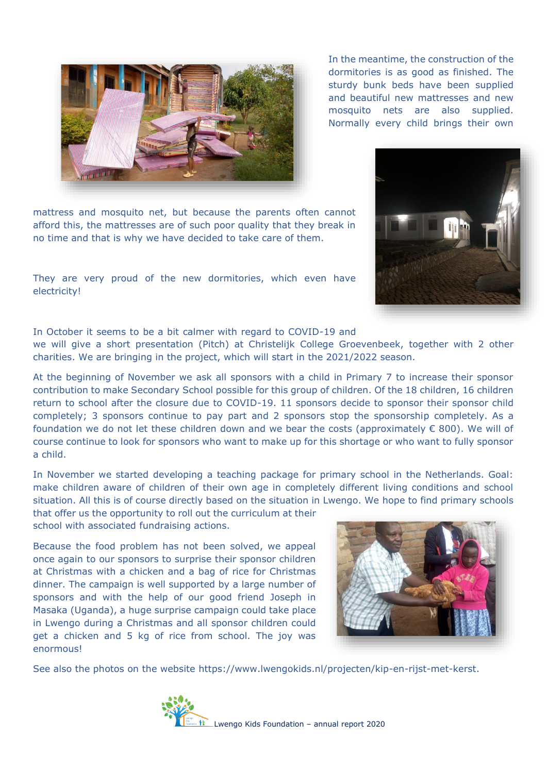mattress and mosquito net, but because the parents often cannot afford this, the mattresses are of such poor quality that they break in no time and that is why we have decided to take care of them.

They are very proud of the new dormitories, which even have electricity!

In October it seems to be a bit calmer with regard to COVID-19 and

we will give a short presentation (Pitch) at Christelijk College Groevenbeek, together with 2 other charities. We are bringing in the project, which will start in the 2021/2022 season.

At the beginning of November we ask all sponsors with a child in Primary 7 to increase their sponsor contribution to make Secondary School possible for this group of children. Of the 18 children, 16 children return to school after the closure due to COVID-19. 11 sponsors decide to sponsor their sponsor child completely; 3 sponsors continue to pay part and 2 sponsors stop the sponsorship completely. As a foundation we do not let these children down and we bear the costs (approximately  $\epsilon$  800). We will of course continue to look for sponsors who want to make up for this shortage or who want to fully sponsor a child.

In November we started developing a teaching package for primary school in the Netherlands. Goal: make children aware of children of their own age in completely different living conditions and school situation. All this is of course directly based on the situation in Lwengo. We hope to find primary schools that offer us the opportunity to roll out the curriculum at their

school with associated fundraising actions.

Because the food problem has not been solved, we appeal once again to our sponsors to surprise their sponsor children at Christmas with a chicken and a bag of rice for Christmas dinner. The campaign is well supported by a large number of sponsors and with the help of our good friend Joseph in Masaka (Uganda), a huge surprise campaign could take place in Lwengo during a Christmas and all sponsor children could get a chicken and 5 kg of rice from school. The joy was enormous!

See also the photos on the website https://www.lwengokids.nl/projecten/kip-en-rijst-met-kerst.







In the meantime, the construction of the dormitories is as good as finished. The sturdy bunk beds have been supplied and beautiful new mattresses and new mosquito nets are also supplied. Normally every child brings their own